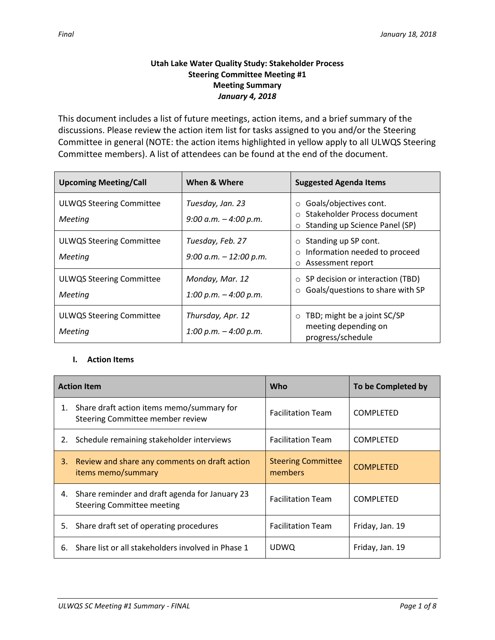## **Utah Lake Water Quality Study: Stakeholder Process Steering Committee Meeting #1 Meeting Summary** *January 4, 2018*

This document includes a list of future meetings, action items, and a brief summary of the discussions. Please review the action item list for tasks assigned to you and/or the Steering Committee in general (NOTE: the action items highlighted in yellow apply to all ULWQS Steering Committee members). A list of attendees can be found at the end of the document.

| <b>Upcoming Meeting/Call</b>               | When & Where                                  | <b>Suggested Agenda Items</b>                                                                                  |  |
|--------------------------------------------|-----------------------------------------------|----------------------------------------------------------------------------------------------------------------|--|
| <b>ULWQS Steering Committee</b><br>Meeting | Tuesday, Jan. 23<br>9:00 a.m. $-$ 4:00 p.m.   | Goals/objectives cont.<br>$\circ$<br>Stakeholder Process document<br>Standing up Science Panel (SP)<br>$\circ$ |  |
| <b>ULWQS Steering Committee</b><br>Meeting | Tuesday, Feb. 27<br>$9:00$ a.m. $-12:00$ p.m. | Standing up SP cont.<br>$\circ$<br>Information needed to proceed<br>$\circ$<br>Assessment report<br>$\circ$    |  |
| <b>ULWQS Steering Committee</b><br>Meeting | Monday, Mar. 12<br>1:00 p.m. $-$ 4:00 p.m.    | SP decision or interaction (TBD)<br>$\circ$<br>Goals/questions to share with SP<br>$\circ$                     |  |
| <b>ULWQS Steering Committee</b><br>Meeting | Thursday, Apr. 12<br>1:00 p.m. $-$ 4:00 p.m.  | TBD; might be a joint SC/SP<br>$\circ$<br>meeting depending on<br>progress/schedule                            |  |

# **I. Action Items**

| <b>Action Item</b> |                                                                                     | Who                                  | To be Completed by |
|--------------------|-------------------------------------------------------------------------------------|--------------------------------------|--------------------|
| 1.                 | Share draft action items memo/summary for<br>Steering Committee member review       | <b>Facilitation Team</b>             | <b>COMPLETED</b>   |
| 2.                 | Schedule remaining stakeholder interviews                                           | <b>Facilitation Team</b>             | <b>COMPLETED</b>   |
| 3.                 | Review and share any comments on draft action<br>items memo/summary                 | <b>Steering Committee</b><br>members | <b>COMPLETED</b>   |
| 4.                 | Share reminder and draft agenda for January 23<br><b>Steering Committee meeting</b> | <b>Facilitation Team</b>             | <b>COMPLETED</b>   |
|                    | 5. Share draft set of operating procedures                                          | <b>Facilitation Team</b>             | Friday, Jan. 19    |
| 6.                 | Share list or all stakeholders involved in Phase 1                                  | <b>UDWQ</b>                          | Friday, Jan. 19    |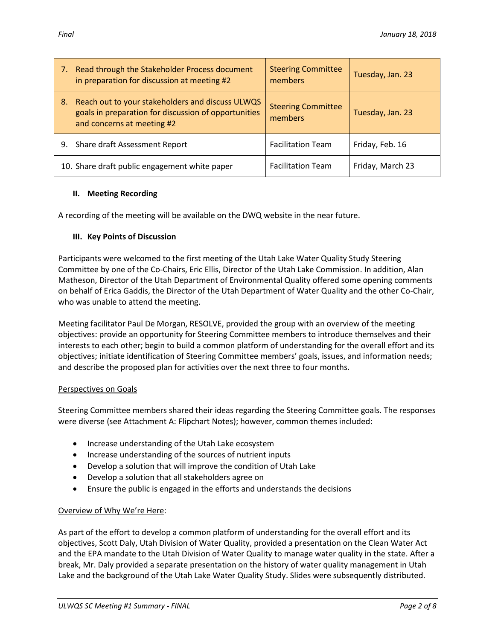|    | 7. Read through the Stakeholder Process document<br>in preparation for discussion at meeting #2                                        | <b>Steering Committee</b><br>members | Tuesday, Jan. 23 |
|----|----------------------------------------------------------------------------------------------------------------------------------------|--------------------------------------|------------------|
| 8. | Reach out to your stakeholders and discuss ULWQS<br>goals in preparation for discussion of opportunities<br>and concerns at meeting #2 | <b>Steering Committee</b><br>members | Tuesday, Jan. 23 |
|    | 9. Share draft Assessment Report                                                                                                       | <b>Facilitation Team</b>             | Friday, Feb. 16  |
|    | 10. Share draft public engagement white paper                                                                                          | <b>Facilitation Team</b>             | Friday, March 23 |

### **II. Meeting Recording**

A recording of the meeting will be available on the DWQ website in the near future.

### **III. Key Points of Discussion**

Participants were welcomed to the first meeting of the Utah Lake Water Quality Study Steering Committee by one of the Co-Chairs, Eric Ellis, Director of the Utah Lake Commission. In addition, Alan Matheson, Director of the Utah Department of Environmental Quality offered some opening comments on behalf of Erica Gaddis, the Director of the Utah Department of Water Quality and the other Co-Chair, who was unable to attend the meeting.

Meeting facilitator Paul De Morgan, RESOLVE, provided the group with an overview of the meeting objectives: provide an opportunity for Steering Committee members to introduce themselves and their interests to each other; begin to build a common platform of understanding for the overall effort and its objectives; initiate identification of Steering Committee members' goals, issues, and information needs; and describe the proposed plan for activities over the next three to four months.

### Perspectives on Goals

Steering Committee members shared their ideas regarding the Steering Committee goals. The responses were diverse (see Attachment A: Flipchart Notes); however, common themes included:

- Increase understanding of the Utah Lake ecosystem
- Increase understanding of the sources of nutrient inputs
- Develop a solution that will improve the condition of Utah Lake
- Develop a solution that all stakeholders agree on
- Ensure the public is engaged in the efforts and understands the decisions

### Overview of Why We're Here:

As part of the effort to develop a common platform of understanding for the overall effort and its objectives, Scott Daly, Utah Division of Water Quality, provided a presentation on the Clean Water Act and the EPA mandate to the Utah Division of Water Quality to manage water quality in the state. After a break, Mr. Daly provided a separate presentation on the history of water quality management in Utah Lake and the background of the Utah Lake Water Quality Study. Slides were subsequently distributed.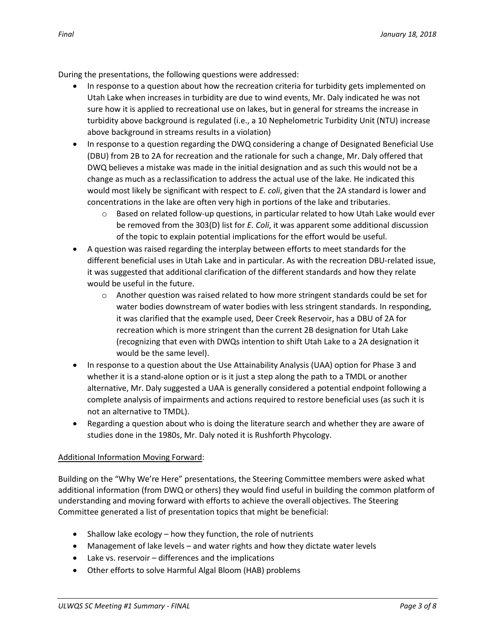During the presentations, the following questions were addressed:

- In response to a question about how the recreation criteria for turbidity gets implemented on Utah Lake when increases in turbidity are due to wind events, Mr. Daly indicated he was not sure how it is applied to recreational use on lakes, but in general for streams the increase in turbidity above background is regulated (i.e., a 10 Nephelometric Turbidity Unit (NTU) increase above background in streams results in a violation)
- In response to a question regarding the DWQ considering a change of Designated Beneficial Use (DBU) from 2B to 2A for recreation and the rationale for such a change, Mr. Daly offered that DWQ believes a mistake was made in the initial designation and as such this would not be a change as much as a reclassification to address the actual use of the lake. He indicated this would most likely be significant with respect to *E. coli*, given that the 2A standard is lower and concentrations in the lake are often very high in portions of the lake and tributaries.
	- $\circ$  Based on related follow-up questions, in particular related to how Utah Lake would ever be removed from the 303(D) list for *E. Coli*, it was apparent some additional discussion of the topic to explain potential implications for the effort would be useful.
- A question was raised regarding the interplay between efforts to meet standards for the different beneficial uses in Utah Lake and in particular. As with the recreation DBU-related issue, it was suggested that additional clarification of the different standards and how they relate would be useful in the future.
	- $\circ$  Another question was raised related to how more stringent standards could be set for water bodies downstream of water bodies with less stringent standards. In responding, it was clarified that the example used, Deer Creek Reservoir, has a DBU of 2A for recreation which is more stringent than the current 2B designation for Utah Lake (recognizing that even with DWQs intention to shift Utah Lake to a 2A designation it would be the same level).
- In response to a question about the Use Attainability Analysis (UAA) option for Phase 3 and whether it is a stand-alone option or is it just a step along the path to a TMDL or another alternative, Mr. Daly suggested a UAA is generally considered a potential endpoint following a complete analysis of impairments and actions required to restore beneficial uses (as such it is not an alternative to TMDL).
- Regarding a question about who is doing the literature search and whether they are aware of studies done in the 1980s, Mr. Daly noted it is Rushforth Phycology.

## Additional Information Moving Forward:

Building on the "Why We're Here" presentations, the Steering Committee members were asked what additional information (from DWQ or others) they would find useful in building the common platform of understanding and moving forward with efforts to achieve the overall objectives. The Steering Committee generated a list of presentation topics that might be beneficial:

- $\bullet$  Shallow lake ecology how they function, the role of nutrients
- Management of lake levels and water rights and how they dictate water levels
- Lake vs. reservoir differences and the implications
- Other efforts to solve Harmful Algal Bloom (HAB) problems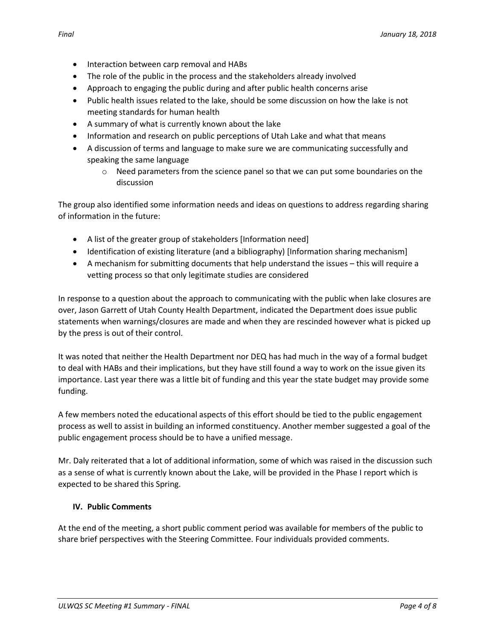- Interaction between carp removal and HABs
- The role of the public in the process and the stakeholders already involved
- Approach to engaging the public during and after public health concerns arise
- Public health issues related to the lake, should be some discussion on how the lake is not meeting standards for human health
- A summary of what is currently known about the lake
- Information and research on public perceptions of Utah Lake and what that means
- A discussion of terms and language to make sure we are communicating successfully and speaking the same language
	- $\circ$  Need parameters from the science panel so that we can put some boundaries on the discussion

The group also identified some information needs and ideas on questions to address regarding sharing of information in the future:

- A list of the greater group of stakeholders [Information need]
- Identification of existing literature (and a bibliography) [Information sharing mechanism]
- A mechanism for submitting documents that help understand the issues this will require a vetting process so that only legitimate studies are considered

In response to a question about the approach to communicating with the public when lake closures are over, Jason Garrett of Utah County Health Department, indicated the Department does issue public statements when warnings/closures are made and when they are rescinded however what is picked up by the press is out of their control.

It was noted that neither the Health Department nor DEQ has had much in the way of a formal budget to deal with HABs and their implications, but they have still found a way to work on the issue given its importance. Last year there was a little bit of funding and this year the state budget may provide some funding.

A few members noted the educational aspects of this effort should be tied to the public engagement process as well to assist in building an informed constituency. Another member suggested a goal of the public engagement process should be to have a unified message.

Mr. Daly reiterated that a lot of additional information, some of which was raised in the discussion such as a sense of what is currently known about the Lake, will be provided in the Phase I report which is expected to be shared this Spring.

### **IV. Public Comments**

At the end of the meeting, a short public comment period was available for members of the public to share brief perspectives with the Steering Committee. Four individuals provided comments.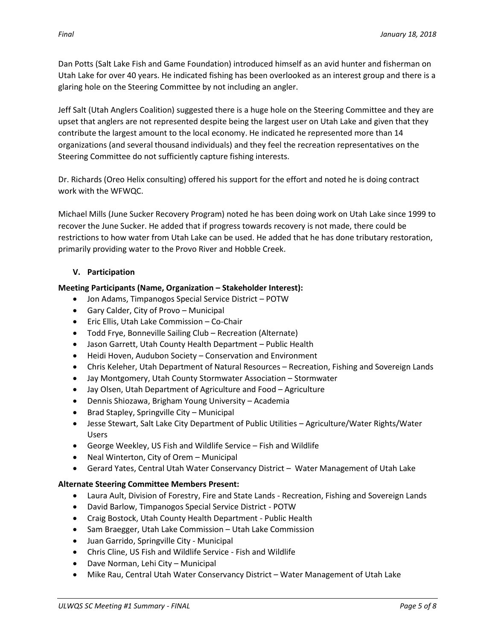Jeff Salt (Utah Anglers Coalition) suggested there is a huge hole on the Steering Committee and they are upset that anglers are not represented despite being the largest user on Utah Lake and given that they contribute the largest amount to the local economy. He indicated he represented more than 14 organizations (and several thousand individuals) and they feel the recreation representatives on the Steering Committee do not sufficiently capture fishing interests.

Dr. Richards (Oreo Helix consulting) offered his support for the effort and noted he is doing contract work with the WFWQC.

Michael Mills (June Sucker Recovery Program) noted he has been doing work on Utah Lake since 1999 to recover the June Sucker. He added that if progress towards recovery is not made, there could be restrictions to how water from Utah Lake can be used. He added that he has done tributary restoration, primarily providing water to the Provo River and Hobble Creek.

# **V. Participation**

# **Meeting Participants (Name, Organization – Stakeholder Interest):**

glaring hole on the Steering Committee by not including an angler.

- Jon Adams, Timpanogos Special Service District POTW
- Gary Calder, City of Provo Municipal
- Eric Ellis, Utah Lake Commission Co-Chair
- Todd Frye, Bonneville Sailing Club Recreation (Alternate)
- Jason Garrett, Utah County Health Department Public Health
- Heidi Hoven, Audubon Society Conservation and Environment
- Chris Keleher, Utah Department of Natural Resources Recreation, Fishing and Sovereign Lands
- Jay Montgomery, Utah County Stormwater Association Stormwater
- Jay Olsen, Utah Department of Agriculture and Food Agriculture
- Dennis Shiozawa, Brigham Young University Academia
- Brad Stapley, Springville City Municipal
- Jesse Stewart, Salt Lake City Department of Public Utilities Agriculture/Water Rights/Water Users
- George Weekley, US Fish and Wildlife Service Fish and Wildlife
- Neal Winterton, City of Orem Municipal
- Gerard Yates, Central Utah Water Conservancy District Water Management of Utah Lake

# **Alternate Steering Committee Members Present:**

- Laura Ault, Division of Forestry, Fire and State Lands Recreation, Fishing and Sovereign Lands
- David Barlow, Timpanogos Special Service District POTW
- Craig Bostock, Utah County Health Department Public Health
- Sam Braegger, Utah Lake Commission Utah Lake Commission
- Juan Garrido, Springville City Municipal
- Chris Cline, US Fish and Wildlife Service Fish and Wildlife
- Dave Norman, Lehi City Municipal
- Mike Rau, Central Utah Water Conservancy District Water Management of Utah Lake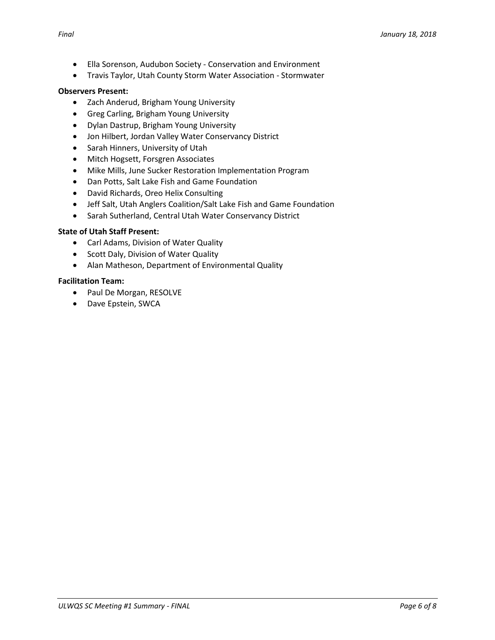- Ella Sorenson, Audubon Society Conservation and Environment
- Travis Taylor, Utah County Storm Water Association Stormwater

### **Observers Present:**

- Zach Anderud, Brigham Young University
- Greg Carling, Brigham Young University
- Dylan Dastrup, Brigham Young University
- Jon Hilbert, Jordan Valley Water Conservancy District
- Sarah Hinners, University of Utah
- Mitch Hogsett, Forsgren Associates
- Mike Mills, June Sucker Restoration Implementation Program
- Dan Potts, Salt Lake Fish and Game Foundation
- David Richards, Oreo Helix Consulting
- Jeff Salt, Utah Anglers Coalition/Salt Lake Fish and Game Foundation
- Sarah Sutherland, Central Utah Water Conservancy District

### **State of Utah Staff Present:**

- Carl Adams, Division of Water Quality
- Scott Daly, Division of Water Quality
- Alan Matheson, Department of Environmental Quality

### **Facilitation Team:**

- Paul De Morgan, RESOLVE
- Dave Epstein, SWCA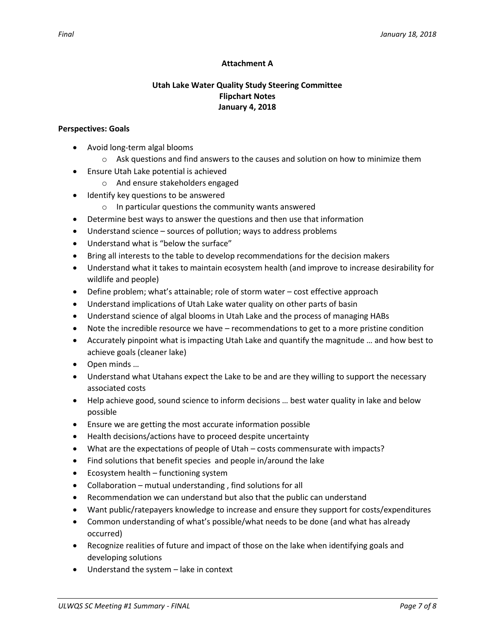### **Attachment A**

## **Utah Lake Water Quality Study Steering Committee Flipchart Notes January 4, 2018**

#### **Perspectives: Goals**

- Avoid long-term algal blooms
	- $\circ$  Ask questions and find answers to the causes and solution on how to minimize them
- Ensure Utah Lake potential is achieved
	- o And ensure stakeholders engaged
- Identify key questions to be answered
	- o In particular questions the community wants answered
- Determine best ways to answer the questions and then use that information
- Understand science sources of pollution; ways to address problems
- Understand what is "below the surface"
- Bring all interests to the table to develop recommendations for the decision makers
- Understand what it takes to maintain ecosystem health (and improve to increase desirability for wildlife and people)
- Define problem; what's attainable; role of storm water cost effective approach
- Understand implications of Utah Lake water quality on other parts of basin
- Understand science of algal blooms in Utah Lake and the process of managing HABs
- Note the incredible resource we have recommendations to get to a more pristine condition
- Accurately pinpoint what is impacting Utah Lake and quantify the magnitude … and how best to achieve goals (cleaner lake)
- Open minds …
- Understand what Utahans expect the Lake to be and are they willing to support the necessary associated costs
- Help achieve good, sound science to inform decisions … best water quality in lake and below possible
- Ensure we are getting the most accurate information possible
- Health decisions/actions have to proceed despite uncertainty
- What are the expectations of people of Utah costs commensurate with impacts?
- Find solutions that benefit species and people in/around the lake
- $\bullet$  Ecosystem health functioning system
- Collaboration mutual understanding , find solutions for all
- Recommendation we can understand but also that the public can understand
- Want public/ratepayers knowledge to increase and ensure they support for costs/expenditures
- Common understanding of what's possible/what needs to be done (and what has already occurred)
- Recognize realities of future and impact of those on the lake when identifying goals and developing solutions
- Understand the system lake in context